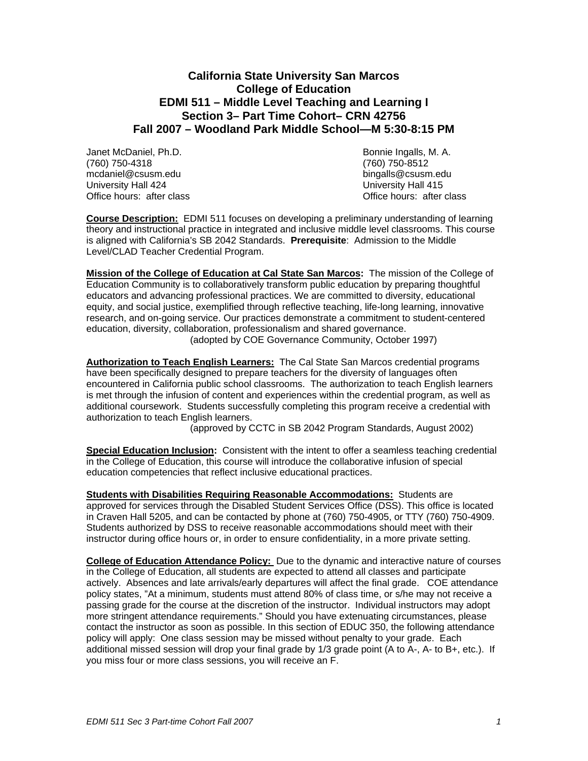# **California State University San Marcos College of Education EDMI 511 – Middle Level Teaching and Learning I Section 3– Part Time Cohort– CRN 42756 Fall 2007 – Woodland Park Middle School—M 5:30-8:15 PM**

Janet McDaniel, Ph.D. Bonnie Ingalls, M. A. (760) 750-4318 (760) 750-8512 mcdaniel@csusm.edu bingalls@csusm.edu University Hall 424 University Hall 415<br>Office hours: after class University Hall 415

Office hours: after class

**Course Description:** EDMI 511 focuses on developing a preliminary understanding of learning theory and instructional practice in integrated and inclusive middle level classrooms. This course is aligned with California's SB 2042 Standards. **Prerequisite**: Admission to the Middle Level/CLAD Teacher Credential Program.

**Mission of the College of Education at Cal State San Marcos:** The mission of the College of Education Community is to collaboratively transform public education by preparing thoughtful educators and advancing professional practices. We are committed to diversity, educational equity, and social justice, exemplified through reflective teaching, life-long learning, innovative research, and on-going service. Our practices demonstrate a commitment to student-centered education, diversity, collaboration, professionalism and shared governance. (adopted by COE Governance Community, October 1997)

**Authorization to Teach English Learners:** The Cal State San Marcos credential programs have been specifically designed to prepare teachers for the diversity of languages often encountered in California public school classrooms. The authorization to teach English learners is met through the infusion of content and experiences within the credential program, as well as additional coursework. Students successfully completing this program receive a credential with authorization to teach English learners.

(approved by CCTC in SB 2042 Program Standards, August 2002)

**Special Education Inclusion:** Consistent with the intent to offer a seamless teaching credential in the College of Education, this course will introduce the collaborative infusion of special education competencies that reflect inclusive educational practices.

**Students with Disabilities Requiring Reasonable Accommodations:** Students are approved for services through the Disabled Student Services Office (DSS). This office is located in Craven Hall 5205, and can be contacted by phone at (760) 750-4905, or TTY (760) 750-4909. Students authorized by DSS to receive reasonable accommodations should meet with their instructor during office hours or, in order to ensure confidentiality, in a more private setting.

**College of Education Attendance Policy:** Due to the dynamic and interactive nature of courses in the College of Education, all students are expected to attend all classes and participate actively. Absences and late arrivals/early departures will affect the final grade. COE attendance policy states, "At a minimum, students must attend 80% of class time, or s/he may not receive a passing grade for the course at the discretion of the instructor. Individual instructors may adopt more stringent attendance requirements." Should you have extenuating circumstances, please contact the instructor as soon as possible. In this section of EDUC 350, the following attendance policy will apply: One class session may be missed without penalty to your grade. Each additional missed session will drop your final grade by 1/3 grade point (A to A-, A- to B+, etc.). If you miss four or more class sessions, you will receive an F.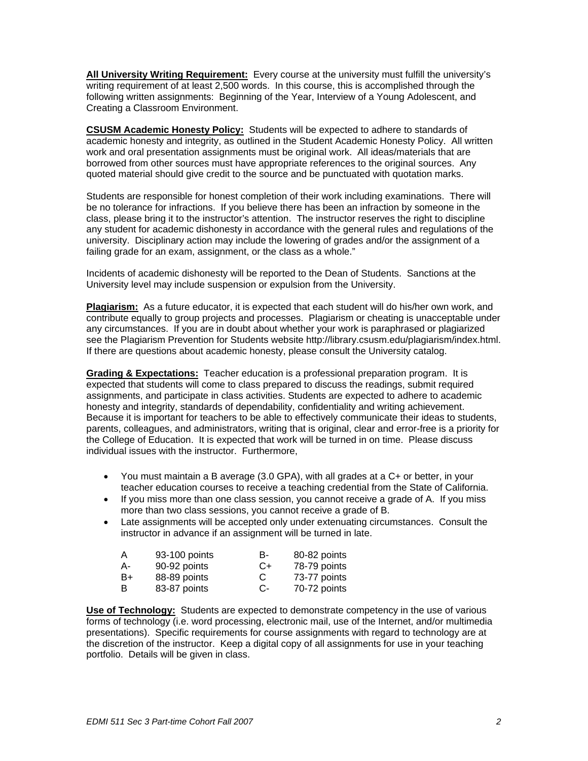**All University Writing Requirement:** Every course at the university must fulfill the university's writing requirement of at least 2,500 words. In this course, this is accomplished through the following written assignments: Beginning of the Year, Interview of a Young Adolescent, and Creating a Classroom Environment.

**CSUSM Academic Honesty Policy:** Students will be expected to adhere to standards of academic honesty and integrity, as outlined in the Student Academic Honesty Policy. All written work and oral presentation assignments must be original work. All ideas/materials that are borrowed from other sources must have appropriate references to the original sources. Any quoted material should give credit to the source and be punctuated with quotation marks.

Students are responsible for honest completion of their work including examinations. There will be no tolerance for infractions. If you believe there has been an infraction by someone in the class, please bring it to the instructor's attention. The instructor reserves the right to discipline any student for academic dishonesty in accordance with the general rules and regulations of the university. Disciplinary action may include the lowering of grades and/or the assignment of a failing grade for an exam, assignment, or the class as a whole."

Incidents of academic dishonesty will be reported to the Dean of Students. Sanctions at the University level may include suspension or expulsion from the University.

**Plagiarism:** As a future educator, it is expected that each student will do his/her own work, and contribute equally to group projects and processes. Plagiarism or cheating is unacceptable under any circumstances. If you are in doubt about whether your work is paraphrased or plagiarized see the Plagiarism Prevention for Students website http://library.csusm.edu/plagiarism/index.html. If there are questions about academic honesty, please consult the University catalog.

**Grading & Expectations:** Teacher education is a professional preparation program. It is expected that students will come to class prepared to discuss the readings, submit required assignments, and participate in class activities. Students are expected to adhere to academic honesty and integrity, standards of dependability, confidentiality and writing achievement. Because it is important for teachers to be able to effectively communicate their ideas to students, parents, colleagues, and administrators, writing that is original, clear and error-free is a priority for the College of Education. It is expected that work will be turned in on time. Please discuss individual issues with the instructor. Furthermore,

- You must maintain a B average (3.0 GPA), with all grades at a C+ or better, in your teacher education courses to receive a teaching credential from the State of California.
- If you miss more than one class session, you cannot receive a grade of A. If you miss more than two class sessions, you cannot receive a grade of B.
- Late assignments will be accepted only under extenuating circumstances. Consult the instructor in advance if an assignment will be turned in late.

| A  | 93-100 points | в-    | 80-82 points |
|----|---------------|-------|--------------|
| A- | 90-92 points  | C+    | 78-79 points |
| B+ | 88-89 points  | С     | 73-77 points |
| B  | 83-87 points  | $C$ - | 70-72 points |

**Use of Technology:** Students are expected to demonstrate competency in the use of various forms of technology (i.e. word processing, electronic mail, use of the Internet, and/or multimedia presentations). Specific requirements for course assignments with regard to technology are at the discretion of the instructor. Keep a digital copy of all assignments for use in your teaching portfolio. Details will be given in class.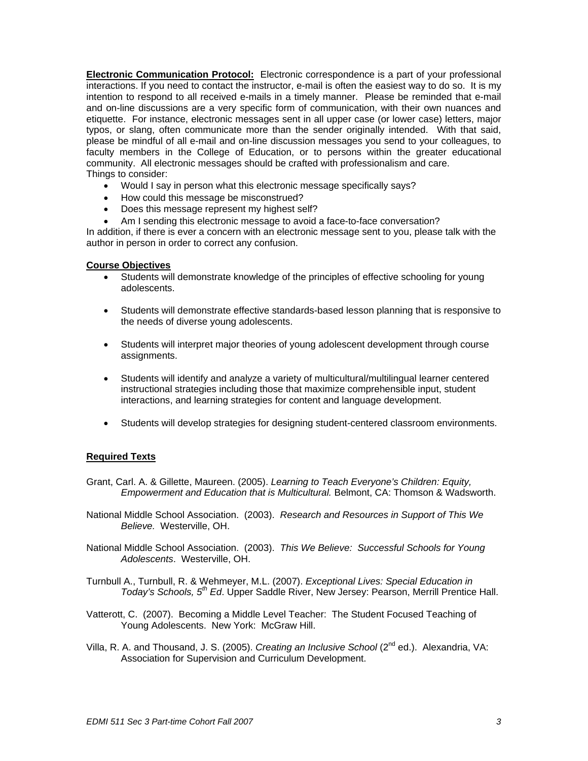**Electronic Communication Protocol:** Electronic correspondence is a part of your professional interactions. If you need to contact the instructor, e-mail is often the easiest way to do so. It is my intention to respond to all received e-mails in a timely manner. Please be reminded that e-mail and on-line discussions are a very specific form of communication, with their own nuances and etiquette. For instance, electronic messages sent in all upper case (or lower case) letters, major typos, or slang, often communicate more than the sender originally intended. With that said, please be mindful of all e-mail and on-line discussion messages you send to your colleagues, to faculty members in the College of Education, or to persons within the greater educational community. All electronic messages should be crafted with professionalism and care. Things to consider:

- Would I say in person what this electronic message specifically says?
- How could this message be misconstrued?
- Does this message represent my highest self?
- Am I sending this electronic message to avoid a face-to-face conversation?

In addition, if there is ever a concern with an electronic message sent to you, please talk with the author in person in order to correct any confusion.

#### **Course Objectives**

- Students will demonstrate knowledge of the principles of effective schooling for young adolescents.
- Students will demonstrate effective standards-based lesson planning that is responsive to the needs of diverse young adolescents.
- Students will interpret major theories of young adolescent development through course assignments.
- Students will identify and analyze a variety of multicultural/multilingual learner centered instructional strategies including those that maximize comprehensible input, student interactions, and learning strategies for content and language development.
- Students will develop strategies for designing student-centered classroom environments.

# **Required Texts**

- Grant, Carl. A. & Gillette, Maureen. (2005). *Learning to Teach Everyone's Children: Equity, Empowerment and Education that is Multicultural.* Belmont, CA: Thomson & Wadsworth.
- National Middle School Association. (2003). *Research and Resources in Support of This We Believe.* Westerville, OH.
- National Middle School Association. (2003). *This We Believe: Successful Schools for Young Adolescents*. Westerville, OH.
- Turnbull A., Turnbull, R. & Wehmeyer, M.L. (2007). *Exceptional Lives: Special Education in Today's Schools, 5th Ed*. Upper Saddle River, New Jersey: Pearson, Merrill Prentice Hall.
- Vatterott, C. (2007). Becoming a Middle Level Teacher: The Student Focused Teaching of Young Adolescents. New York: McGraw Hill.
- Villa, R. A. and Thousand, J. S. (2005). *Creating an Inclusive School* (2nd ed.). Alexandria, VA: Association for Supervision and Curriculum Development.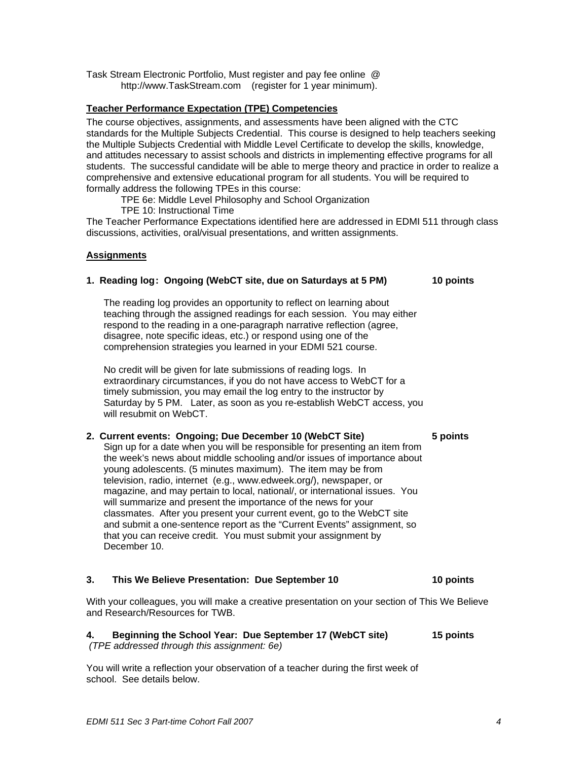Task Stream Electronic Portfolio, Must register and pay fee online @ http://www.TaskStream.com (register for 1 year minimum).

# **Teacher Performance Expectation (TPE) Competencies**

The course objectives, assignments, and assessments have been aligned with the CTC standards for the Multiple Subjects Credential. This course is designed to help teachers seeking the Multiple Subjects Credential with Middle Level Certificate to develop the skills, knowledge, and attitudes necessary to assist schools and districts in implementing effective programs for all students. The successful candidate will be able to merge theory and practice in order to realize a comprehensive and extensive educational program for all students. You will be required to formally address the following TPEs in this course:

TPE 6e: Middle Level Philosophy and School Organization

TPE 10: Instructional Time

The Teacher Performance Expectations identified here are addressed in EDMI 511 through class discussions, activities, oral/visual presentations, and written assignments.

# **Assignments**

# 1. Reading log: Ongoing (WebCT site, due on Saturdays at 5 PM) 10 points

The reading log provides an opportunity to reflect on learning about teaching through the assigned readings for each session. You may either respond to the reading in a one-paragraph narrative reflection (agree, disagree, note specific ideas, etc.) or respond using one of the comprehension strategies you learned in your EDMI 521 course.

No credit will be given for late submissions of reading logs. In extraordinary circumstances, if you do not have access to WebCT for a timely submission, you may email the log entry to the instructor by Saturday by 5 PM. Later, as soon as you re-establish WebCT access, you will resubmit on WebCT.

# **2. Current events: Ongoing; Due December 10 (WebCT Site) 5 points**

Sign up for a date when you will be responsible for presenting an item from the week's news about middle schooling and/or issues of importance about young adolescents. (5 minutes maximum). The item may be from television, radio, internet (e.g., www.edweek.org/), newspaper, or magazine, and may pertain to local, national/, or international issues. You will summarize and present the importance of the news for your classmates. After you present your current event, go to the WebCT site and submit a one-sentence report as the "Current Events" assignment, so that you can receive credit. You must submit your assignment by December 10.

# **3. This We Believe Presentation: Due September 10 10 points**

With your colleagues, you will make a creative presentation on your section of This We Believe and Research/Resources for TWB.

#### **4. Beginning the School Year: Due September 17 (WebCT site) 15 points**   *(TPE addressed through this assignment: 6e)*

You will write a reflection your observation of a teacher during the first week of school. See details below.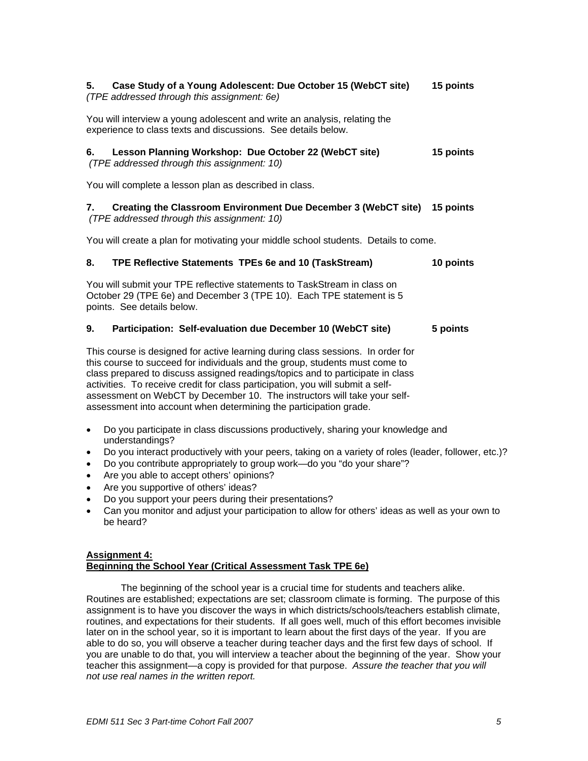# **5. Case Study of a Young Adolescent: Due October 15 (WebCT site) 15 points**  *(TPE addressed through this assignment: 6e)*

You will interview a young adolescent and write an analysis, relating the experience to class texts and discussions. See details below.

#### **6. Lesson Planning Workshop: Due October 22 (WebCT site) 15 points**   *(TPE addressed through this assignment: 10)*

You will complete a lesson plan as described in class.

# **7. Creating the Classroom Environment Due December 3 (WebCT site) 15 points**

 *(TPE addressed through this assignment: 10)* 

You will create a plan for motivating your middle school students. Details to come.

# **8. TPE Reflective Statements TPEs 6e and 10 (TaskStream) 10 points**

You will submit your TPE reflective statements to TaskStream in class on October 29 (TPE 6e) and December 3 (TPE 10). Each TPE statement is 5 points. See details below.

# **9. Participation: Self-evaluation due December 10 (WebCT site) 5 points**

This course is designed for active learning during class sessions. In order for this course to succeed for individuals and the group, students must come to class prepared to discuss assigned readings/topics and to participate in class activities. To receive credit for class participation, you will submit a selfassessment on WebCT by December 10. The instructors will take your selfassessment into account when determining the participation grade.

- Do you participate in class discussions productively, sharing your knowledge and understandings?
- Do you interact productively with your peers, taking on a variety of roles (leader, follower, etc.)?
- Do you contribute appropriately to group work—do you "do your share"?
- Are you able to accept others' opinions?
- Are you supportive of others' ideas?
- Do you support your peers during their presentations?
- Can you monitor and adjust your participation to allow for others' ideas as well as your own to be heard?

# **Assignment 4: Beginning the School Year (Critical Assessment Task TPE 6e)**

The beginning of the school year is a crucial time for students and teachers alike. Routines are established; expectations are set; classroom climate is forming. The purpose of this assignment is to have you discover the ways in which districts/schools/teachers establish climate, routines, and expectations for their students. If all goes well, much of this effort becomes invisible later on in the school year, so it is important to learn about the first days of the year. If you are able to do so, you will observe a teacher during teacher days and the first few days of school. If you are unable to do that, you will interview a teacher about the beginning of the year. Show your teacher this assignment—a copy is provided for that purpose. *Assure the teacher that you will not use real names in the written report.*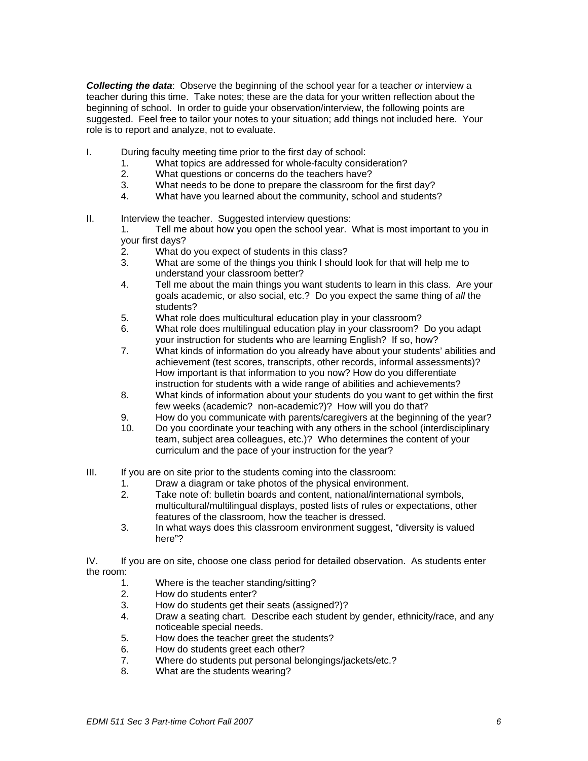*Collecting the data*: Observe the beginning of the school year for a teacher *or* interview a teacher during this time. Take notes; these are the data for your written reflection about the beginning of school. In order to guide your observation/interview, the following points are suggested. Feel free to tailor your notes to your situation; add things not included here. Your role is to report and analyze, not to evaluate.

- I. During faculty meeting time prior to the first day of school:
	- 1. What topics are addressed for whole-faculty consideration?<br>2. What questions or concerns do the teachers have?
	- What questions or concerns do the teachers have?
	- 3. What needs to be done to prepare the classroom for the first day?
	- 4. What have you learned about the community, school and students?
- II. Interview the teacher. Suggested interview questions:

 1. Tell me about how you open the school year. What is most important to you in your first days?

- 2. What do you expect of students in this class?
- 3. What are some of the things you think I should look for that will help me to understand your classroom better?
- 4. Tell me about the main things you want students to learn in this class. Are your goals academic, or also social, etc.? Do you expect the same thing of *all* the students?
- 5. What role does multicultural education play in your classroom?
- 6. What role does multilingual education play in your classroom? Do you adapt your instruction for students who are learning English? If so, how?
- 7. What kinds of information do you already have about your students' abilities and achievement (test scores, transcripts, other records, informal assessments)? How important is that information to you now? How do you differentiate instruction for students with a wide range of abilities and achievements?
- 8. What kinds of information about your students do you want to get within the first few weeks (academic? non-academic?)? How will you do that?
- 9. How do you communicate with parents/caregivers at the beginning of the year?
- 10. Do you coordinate your teaching with any others in the school (interdisciplinary team, subject area colleagues, etc.)? Who determines the content of your curriculum and the pace of your instruction for the year?
- III. If you are on site prior to the students coming into the classroom:
	- 1. Draw a diagram or take photos of the physical environment.
	- 2. Take note of: bulletin boards and content, national/international symbols, multicultural/multilingual displays, posted lists of rules or expectations, other features of the classroom, how the teacher is dressed.
	- 3. In what ways does this classroom environment suggest, "diversity is valued here"?

IV. If you are on site, choose one class period for detailed observation. As students enter the room:

- 1. Where is the teacher standing/sitting?
- 2. How do students enter?
- 3. How do students get their seats (assigned?)?
- 4. Draw a seating chart. Describe each student by gender, ethnicity/race, and any noticeable special needs.
- 5. How does the teacher greet the students?
- 6. How do students greet each other?
- 7. Where do students put personal belongings/jackets/etc.?
- 8. What are the students wearing?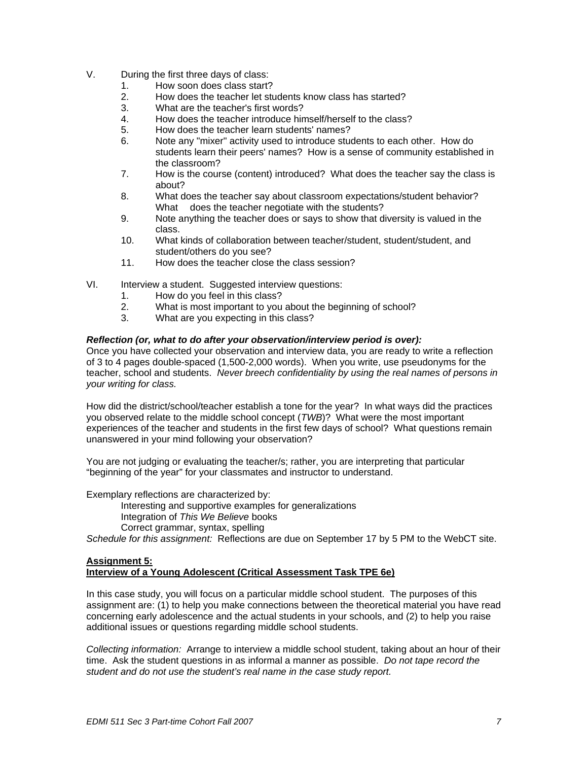- V. During the first three days of class:
	- 1. How soon does class start?
	- 2. How does the teacher let students know class has started?
	- 3. What are the teacher's first words?
	- 4. How does the teacher introduce himself/herself to the class?
	- 5. How does the teacher learn students' names?
	- 6. Note any "mixer" activity used to introduce students to each other. How do students learn their peers' names? How is a sense of community established in the classroom?
	- 7. How is the course (content) introduced? What does the teacher say the class is about?
	- 8. What does the teacher say about classroom expectations/student behavior? What does the teacher negotiate with the students?
	- 9. Note anything the teacher does or says to show that diversity is valued in the class.
	- 10. What kinds of collaboration between teacher/student, student/student, and student/others do you see?
	- 11. How does the teacher close the class session?
- VI. Interview a student. Suggested interview questions:
	- 1. How do you feel in this class?
	- 2. What is most important to you about the beginning of school?
	- 3. What are you expecting in this class?

# *Reflection (or, what to do after your observation/interview period is over):*

Once you have collected your observation and interview data, you are ready to write a reflection of 3 to 4 pages double-spaced (1,500-2,000 words). When you write, use pseudonyms for the teacher, school and students. *Never breech confidentiality by using the real names of persons in your writing for class.* 

How did the district/school/teacher establish a tone for the year? In what ways did the practices you observed relate to the middle school concept (*TWB*)? What were the most important experiences of the teacher and students in the first few days of school? What questions remain unanswered in your mind following your observation?

You are not judging or evaluating the teacher/s; rather, you are interpreting that particular "beginning of the year" for your classmates and instructor to understand.

Exemplary reflections are characterized by:

Interesting and supportive examples for generalizations

Integration of *This We Believe* books

Correct grammar, syntax, spelling

*Schedule for this assignment:* Reflections are due on September 17 by 5 PM to the WebCT site.

# **Assignment 5: Interview of a Young Adolescent (Critical Assessment Task TPE 6e)**

In this case study, you will focus on a particular middle school student. The purposes of this assignment are: (1) to help you make connections between the theoretical material you have read concerning early adolescence and the actual students in your schools, and (2) to help you raise additional issues or questions regarding middle school students.

*Collecting information:* Arrange to interview a middle school student, taking about an hour of their time. Ask the student questions in as informal a manner as possible. *Do not tape record the student and do not use the student's real name in the case study report.*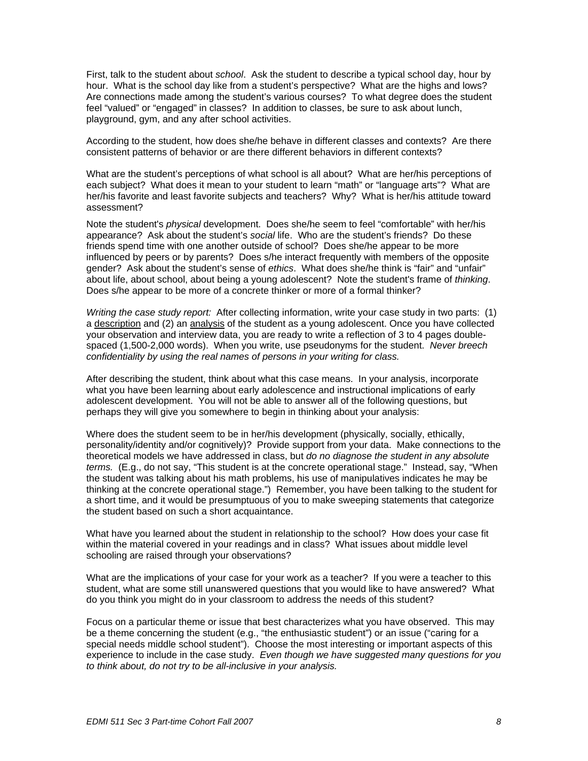First, talk to the student about *school*. Ask the student to describe a typical school day, hour by hour. What is the school day like from a student's perspective? What are the highs and lows? Are connections made among the student's various courses? To what degree does the student feel "valued" or "engaged" in classes? In addition to classes, be sure to ask about lunch, playground, gym, and any after school activities.

According to the student, how does she/he behave in different classes and contexts? Are there consistent patterns of behavior or are there different behaviors in different contexts?

What are the student's perceptions of what school is all about? What are her/his perceptions of each subject? What does it mean to your student to learn "math" or "language arts"? What are her/his favorite and least favorite subjects and teachers? Why? What is her/his attitude toward assessment?

Note the student's *physical* development. Does she/he seem to feel "comfortable" with her/his appearance? Ask about the student's *social* life. Who are the student's friends? Do these friends spend time with one another outside of school? Does she/he appear to be more influenced by peers or by parents? Does s/he interact frequently with members of the opposite gender? Ask about the student's sense of *ethics*. What does she/he think is "fair" and "unfair" about life, about school, about being a young adolescent? Note the student's frame of *thinking*. Does s/he appear to be more of a concrete thinker or more of a formal thinker?

*Writing the case study report:* After collecting information, write your case study in two parts: (1) a description and (2) an analysis of the student as a young adolescent. Once you have collected your observation and interview data, you are ready to write a reflection of 3 to 4 pages doublespaced (1,500-2,000 words). When you write, use pseudonyms for the student. *Never breech confidentiality by using the real names of persons in your writing for class.* 

After describing the student, think about what this case means. In your analysis, incorporate what you have been learning about early adolescence and instructional implications of early adolescent development. You will not be able to answer all of the following questions, but perhaps they will give you somewhere to begin in thinking about your analysis:

Where does the student seem to be in her/his development (physically, socially, ethically, personality/identity and/or cognitively)? Provide support from your data. Make connections to the theoretical models we have addressed in class, but *do no diagnose the student in any absolute terms.* (E.g., do not say, "This student is at the concrete operational stage." Instead, say, "When the student was talking about his math problems, his use of manipulatives indicates he may be thinking at the concrete operational stage.") Remember, you have been talking to the student for a short time, and it would be presumptuous of you to make sweeping statements that categorize the student based on such a short acquaintance.

What have you learned about the student in relationship to the school? How does your case fit within the material covered in your readings and in class? What issues about middle level schooling are raised through your observations?

What are the implications of your case for your work as a teacher? If you were a teacher to this student, what are some still unanswered questions that you would like to have answered? What do you think you might do in your classroom to address the needs of this student?

Focus on a particular theme or issue that best characterizes what you have observed. This may be a theme concerning the student (e.g., "the enthusiastic student") or an issue ("caring for a special needs middle school student"). Choose the most interesting or important aspects of this experience to include in the case study. *Even though we have suggested many questions for you to think about, do not try to be all-inclusive in your analysis.*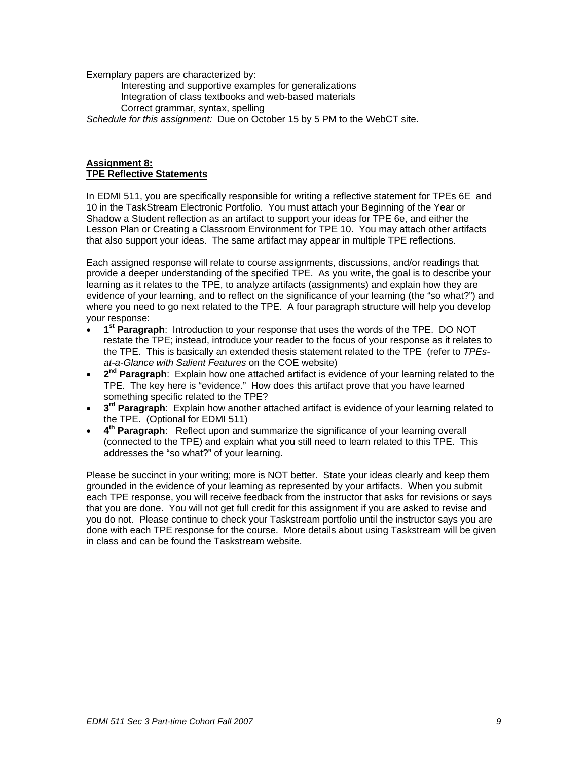Exemplary papers are characterized by:

Interesting and supportive examples for generalizations Integration of class textbooks and web-based materials Correct grammar, syntax, spelling

*Schedule for this assignment:* Due on October 15 by 5 PM to the WebCT site.

# **Assignment 8: TPE Reflective Statements**

In EDMI 511, you are specifically responsible for writing a reflective statement for TPEs 6E and 10 in the TaskStream Electronic Portfolio. You must attach your Beginning of the Year or Shadow a Student reflection as an artifact to support your ideas for TPE 6e, and either the Lesson Plan or Creating a Classroom Environment for TPE 10. You may attach other artifacts that also support your ideas. The same artifact may appear in multiple TPE reflections.

Each assigned response will relate to course assignments, discussions, and/or readings that provide a deeper understanding of the specified TPE. As you write, the goal is to describe your learning as it relates to the TPE, to analyze artifacts (assignments) and explain how they are evidence of your learning, and to reflect on the significance of your learning (the "so what?") and where you need to go next related to the TPE. A four paragraph structure will help you develop your response:

- **1st Paragraph**: Introduction to your response that uses the words of the TPE. DO NOT restate the TPE; instead, introduce your reader to the focus of your response as it relates to the TPE. This is basically an extended thesis statement related to the TPE (refer to *TPEsat-a-Glance with Salient Features* on the COE website)
- **2nd Paragraph**: Explain how one attached artifact is evidence of your learning related to the TPE. The key here is "evidence." How does this artifact prove that you have learned something specific related to the TPE?
- 3<sup>rd</sup> Paragraph: Explain how another attached artifact is evidence of your learning related to the TPE. (Optional for EDMI 511)
- **4th Paragraph**: Reflect upon and summarize the significance of your learning overall (connected to the TPE) and explain what you still need to learn related to this TPE. This addresses the "so what?" of your learning.

Please be succinct in your writing; more is NOT better. State your ideas clearly and keep them grounded in the evidence of your learning as represented by your artifacts. When you submit each TPE response, you will receive feedback from the instructor that asks for revisions or says that you are done. You will not get full credit for this assignment if you are asked to revise and you do not. Please continue to check your Taskstream portfolio until the instructor says you are done with each TPE response for the course. More details about using Taskstream will be given in class and can be found the Taskstream website.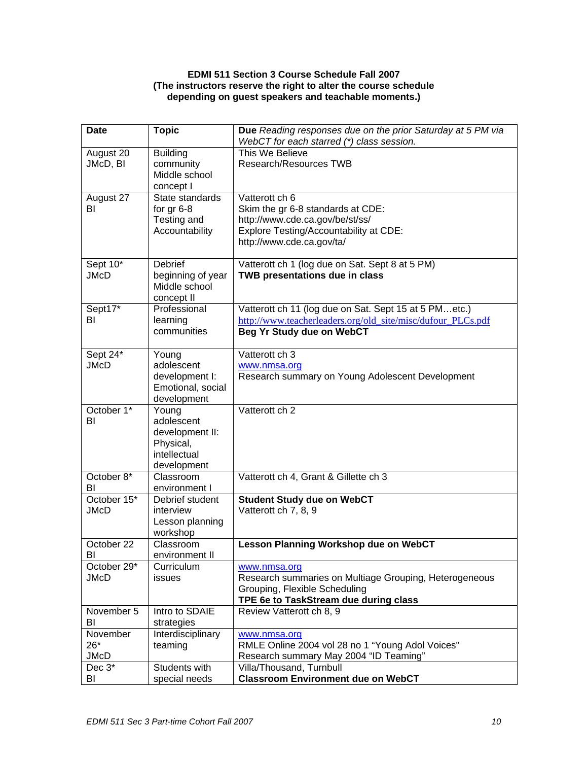# **EDMI 511 Section 3 Course Schedule Fall 2007 (The instructors reserve the right to alter the course schedule depending on guest speakers and teachable moments.)**

| <b>Date</b>   | <b>Topic</b>                 | Due Reading responses due on the prior Saturday at 5 PM via                              |
|---------------|------------------------------|------------------------------------------------------------------------------------------|
|               |                              | WebCT for each starred (*) class session.                                                |
| August 20     | <b>Building</b>              | This We Believe                                                                          |
| JMcD, BI      | community<br>Middle school   | Research/Resources TWB                                                                   |
|               | concept I                    |                                                                                          |
| August 27     | State standards              | Vatterott ch 6                                                                           |
| BI            | for $gr 6-8$                 | Skim the gr 6-8 standards at CDE:                                                        |
|               | Testing and                  | http://www.cde.ca.gov/be/st/ss/                                                          |
|               | Accountability               | Explore Testing/Accountability at CDE:                                                   |
|               |                              | http://www.cde.ca.gov/ta/                                                                |
|               |                              |                                                                                          |
| Sept 10*      | Debrief                      | Vatterott ch 1 (log due on Sat. Sept 8 at 5 PM)                                          |
| <b>JMcD</b>   | beginning of year            | TWB presentations due in class                                                           |
|               | Middle school                |                                                                                          |
|               | concept II                   |                                                                                          |
| Sept17*<br>BI | Professional                 | Vatterott ch 11 (log due on Sat. Sept 15 at 5 PMetc.)                                    |
|               | learning<br>communities      | http://www.teacherleaders.org/old_site/misc/dufour_PLCs.pdf<br>Beg Yr Study due on WebCT |
|               |                              |                                                                                          |
| Sept 24*      | Young                        | Vatterott ch 3                                                                           |
| <b>JMcD</b>   | adolescent                   | www.nmsa.org                                                                             |
|               | development I:               | Research summary on Young Adolescent Development                                         |
|               | Emotional, social            |                                                                                          |
|               | development                  |                                                                                          |
| October 1*    | Young                        | Vatterott ch 2                                                                           |
| BI            | adolescent                   |                                                                                          |
|               | development II:<br>Physical, |                                                                                          |
|               | intellectual                 |                                                                                          |
|               | development                  |                                                                                          |
| October 8*    | Classroom                    | Vatterott ch 4, Grant & Gillette ch 3                                                    |
| BI            | environment I                |                                                                                          |
| October 15*   | Debrief student              | <b>Student Study due on WebCT</b>                                                        |
| <b>JMcD</b>   | interview                    | Vatterott ch 7, 8, 9                                                                     |
|               | Lesson planning              |                                                                                          |
| October 22    | workshop                     |                                                                                          |
| BI            | Classroom<br>environment II  | Lesson Planning Workshop due on WebCT                                                    |
| October 29*   | Curriculum                   | www.nmsa.org                                                                             |
| <b>JMcD</b>   | issues                       | Research summaries on Multiage Grouping, Heterogeneous                                   |
|               |                              | Grouping, Flexible Scheduling                                                            |
|               |                              | TPE 6e to TaskStream due during class                                                    |
| November 5    | Intro to SDAIE               | Review Vatterott ch 8, 9                                                                 |
| BI            | strategies                   |                                                                                          |
| November      | Interdisciplinary            | www.nmsa.org                                                                             |
| $26*$         | teaming                      | RMLE Online 2004 vol 28 no 1 "Young Adol Voices"                                         |
| <b>JMcD</b>   |                              | Research summary May 2004 "ID Teaming"                                                   |
| Dec 3*        | Students with                | Villa/Thousand, Turnbull                                                                 |
| BI            | special needs                | <b>Classroom Environment due on WebCT</b>                                                |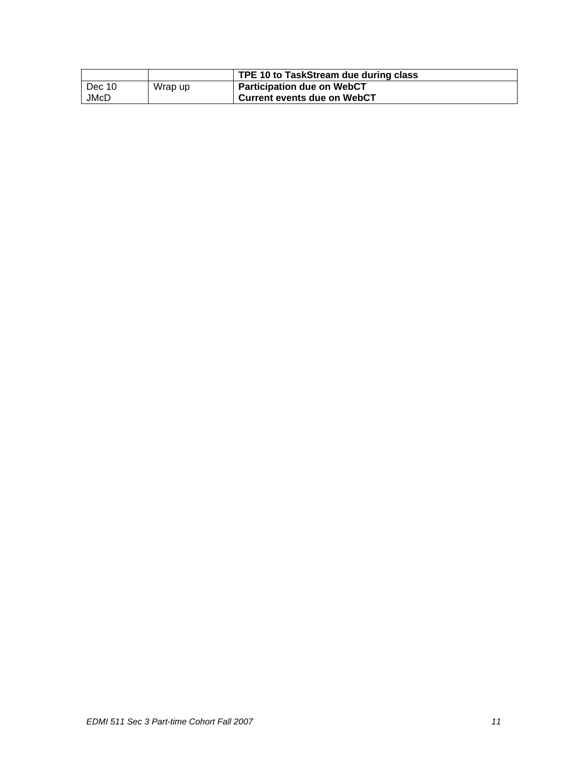|        |         | TPE 10 to TaskStream due during class |
|--------|---------|---------------------------------------|
| Dec 10 | Wrap up | <b>Participation due on WebCT</b>     |
| JMcD   |         | <b>Current events due on WebCT</b>    |